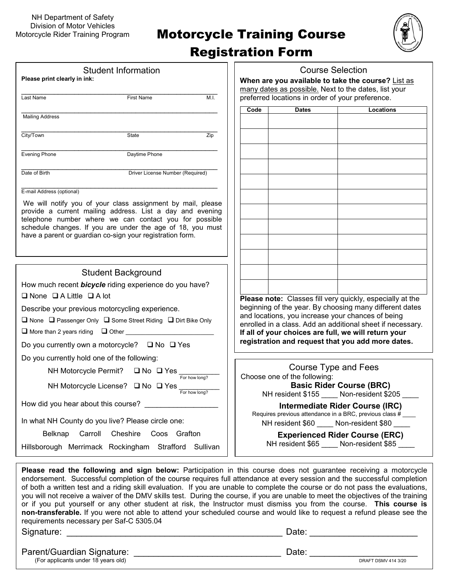# **Motorcycle Training Course**



### Registration Form

| <b>Course Selection</b><br><b>Student Information</b>                                                                |                                                                                                                                                                                                                                                                                                                                                                                                                                                                                                                                                                                                                                             |  |  |  |
|----------------------------------------------------------------------------------------------------------------------|---------------------------------------------------------------------------------------------------------------------------------------------------------------------------------------------------------------------------------------------------------------------------------------------------------------------------------------------------------------------------------------------------------------------------------------------------------------------------------------------------------------------------------------------------------------------------------------------------------------------------------------------|--|--|--|
| Please print clearly in ink:                                                                                         | When are you available to take the course? List as                                                                                                                                                                                                                                                                                                                                                                                                                                                                                                                                                                                          |  |  |  |
| <b>First Name</b><br>M.I.<br>Last Name                                                                               | many dates as possible. Next to the dates, list your<br>preferred locations in order of your preference.                                                                                                                                                                                                                                                                                                                                                                                                                                                                                                                                    |  |  |  |
|                                                                                                                      | <b>Dates</b><br><b>Locations</b><br>Code                                                                                                                                                                                                                                                                                                                                                                                                                                                                                                                                                                                                    |  |  |  |
| <b>Mailing Address</b>                                                                                               |                                                                                                                                                                                                                                                                                                                                                                                                                                                                                                                                                                                                                                             |  |  |  |
|                                                                                                                      |                                                                                                                                                                                                                                                                                                                                                                                                                                                                                                                                                                                                                                             |  |  |  |
| City/Town<br>Zip<br>State                                                                                            |                                                                                                                                                                                                                                                                                                                                                                                                                                                                                                                                                                                                                                             |  |  |  |
| <b>Evening Phone</b><br>Daytime Phone                                                                                |                                                                                                                                                                                                                                                                                                                                                                                                                                                                                                                                                                                                                                             |  |  |  |
|                                                                                                                      |                                                                                                                                                                                                                                                                                                                                                                                                                                                                                                                                                                                                                                             |  |  |  |
| Date of Birth<br>Driver License Number (Required)                                                                    |                                                                                                                                                                                                                                                                                                                                                                                                                                                                                                                                                                                                                                             |  |  |  |
| E-mail Address (optional)                                                                                            |                                                                                                                                                                                                                                                                                                                                                                                                                                                                                                                                                                                                                                             |  |  |  |
| We will notify you of your class assignment by mail, please                                                          |                                                                                                                                                                                                                                                                                                                                                                                                                                                                                                                                                                                                                                             |  |  |  |
| provide a current mailing address. List a day and evening                                                            |                                                                                                                                                                                                                                                                                                                                                                                                                                                                                                                                                                                                                                             |  |  |  |
| telephone number where we can contact you for possible<br>schedule changes. If you are under the age of 18, you must |                                                                                                                                                                                                                                                                                                                                                                                                                                                                                                                                                                                                                                             |  |  |  |
| have a parent or guardian co-sign your registration form.                                                            |                                                                                                                                                                                                                                                                                                                                                                                                                                                                                                                                                                                                                                             |  |  |  |
|                                                                                                                      |                                                                                                                                                                                                                                                                                                                                                                                                                                                                                                                                                                                                                                             |  |  |  |
|                                                                                                                      |                                                                                                                                                                                                                                                                                                                                                                                                                                                                                                                                                                                                                                             |  |  |  |
| <b>Student Background</b>                                                                                            |                                                                                                                                                                                                                                                                                                                                                                                                                                                                                                                                                                                                                                             |  |  |  |
| How much recent bicycle riding experience do you have?                                                               |                                                                                                                                                                                                                                                                                                                                                                                                                                                                                                                                                                                                                                             |  |  |  |
| $\Box$ None $\Box$ A Little $\Box$ A lot                                                                             | Please note: Classes fill very quickly, especially at the                                                                                                                                                                                                                                                                                                                                                                                                                                                                                                                                                                                   |  |  |  |
| Describe your previous motorcycling experience.                                                                      | beginning of the year. By choosing many different dates                                                                                                                                                                                                                                                                                                                                                                                                                                                                                                                                                                                     |  |  |  |
| □ None □ Passenger Only □ Some Street Riding □ Dirt Bike Only                                                        | and locations, you increase your chances of being                                                                                                                                                                                                                                                                                                                                                                                                                                                                                                                                                                                           |  |  |  |
| $\Box$ More than 2 years riding $\Box$ Other                                                                         | enrolled in a class. Add an additional sheet if necessary.<br>If all of your choices are full, we will return your                                                                                                                                                                                                                                                                                                                                                                                                                                                                                                                          |  |  |  |
| Do you currently own a motorcycle? $\Box$ No $\Box$ Yes                                                              | registration and request that you add more dates.                                                                                                                                                                                                                                                                                                                                                                                                                                                                                                                                                                                           |  |  |  |
| Do you currently hold one of the following:                                                                          |                                                                                                                                                                                                                                                                                                                                                                                                                                                                                                                                                                                                                                             |  |  |  |
| NH Motorcycle Permit?<br>$\Box$ No $\Box$ Yes                                                                        | Course Type and Fees                                                                                                                                                                                                                                                                                                                                                                                                                                                                                                                                                                                                                        |  |  |  |
| For how long?<br>NH Motorcycle License? $\Box$ No $\Box$ Yes $\frac{1}{\Box \text{For how long?}}$                   | Choose one of the following:<br><b>Basic Rider Course (BRC)</b>                                                                                                                                                                                                                                                                                                                                                                                                                                                                                                                                                                             |  |  |  |
|                                                                                                                      | NH resident \$155 Non-resident \$205                                                                                                                                                                                                                                                                                                                                                                                                                                                                                                                                                                                                        |  |  |  |
| How did you hear about this course?                                                                                  | Intermediate Rider Course (IRC)                                                                                                                                                                                                                                                                                                                                                                                                                                                                                                                                                                                                             |  |  |  |
| In what NH County do you live? Please circle one:                                                                    | Requires previous attendance in a BRC, previous class #<br>NH resident \$60 Non-resident \$80                                                                                                                                                                                                                                                                                                                                                                                                                                                                                                                                               |  |  |  |
| Cheshire Coos Grafton<br>Belknap Carroll                                                                             | <b>Experienced Rider Course (ERC)</b>                                                                                                                                                                                                                                                                                                                                                                                                                                                                                                                                                                                                       |  |  |  |
| Hillsborough Merrimack Rockingham Strafford Sullivan                                                                 | NH resident \$65 ____ Non-resident \$85 ____                                                                                                                                                                                                                                                                                                                                                                                                                                                                                                                                                                                                |  |  |  |
|                                                                                                                      |                                                                                                                                                                                                                                                                                                                                                                                                                                                                                                                                                                                                                                             |  |  |  |
|                                                                                                                      | Please read the following and sign below: Participation in this course does not guarantee receiving a motorcycle<br>endorsement. Successful completion of the course requires full attendance at every session and the successful completion<br>of both a written test and a riding skill evaluation. If you are unable to complete the course or do not pass the evaluations,<br>you will not receive a waiver of the DMV skills test. During the course, if you are unable to meet the objectives of the training<br>or if you put yourself or any other student at risk, the Instructor must dismiss you from the course. This course is |  |  |  |

**non-transferable.** If you were not able to attend your scheduled course and would like to request a refund please see the

Signature: \_\_\_\_\_\_\_\_\_\_\_\_\_\_\_\_\_\_\_\_\_\_\_\_\_\_\_\_\_\_\_\_\_\_\_\_\_\_\_\_\_\_\_\_ Date: \_\_\_\_\_\_\_\_\_\_\_\_\_\_\_\_\_\_\_\_\_\_

Parent/Guardian Signature: \_\_\_\_\_\_\_\_\_\_\_\_\_\_\_\_\_\_\_\_\_\_\_\_\_\_\_\_\_\_ Date: \_\_\_\_\_\_\_\_\_\_\_\_\_\_\_\_\_\_\_\_\_\_

(For applicants under 18 years old)

requirements necessary per Saf-C 5305.04